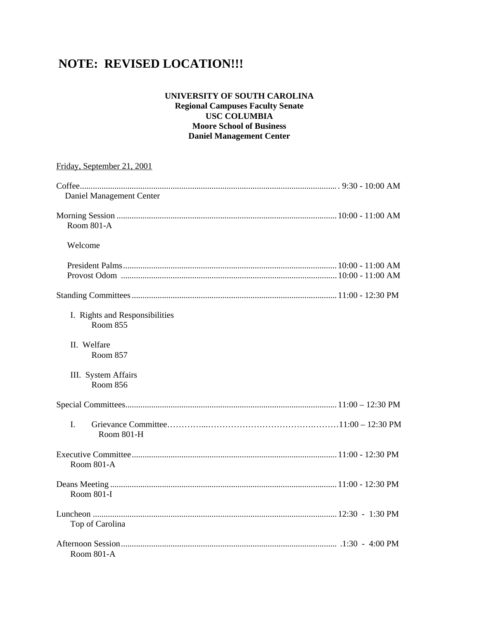# **NOTE: REVISED LOCATION!!!**

# **UNIVERSITY OF SOUTH CAROLINA**

**Regional Campuses Faculty Senate USC COLUMBIA Moore School of Business Daniel Management Center** 

| Friday, September 21, 2001                        |  |
|---------------------------------------------------|--|
|                                                   |  |
| Daniel Management Center                          |  |
| Room 801-A                                        |  |
| Welcome                                           |  |
|                                                   |  |
|                                                   |  |
| I. Rights and Responsibilities<br><b>Room 855</b> |  |
| II. Welfare<br><b>Room 857</b>                    |  |
| III. System Affairs<br><b>Room 856</b>            |  |
|                                                   |  |
| I.<br>Room 801-H                                  |  |
| Room 801-A                                        |  |
| <b>Room 801-I</b>                                 |  |
| Top of Carolina                                   |  |
| Room 801-A                                        |  |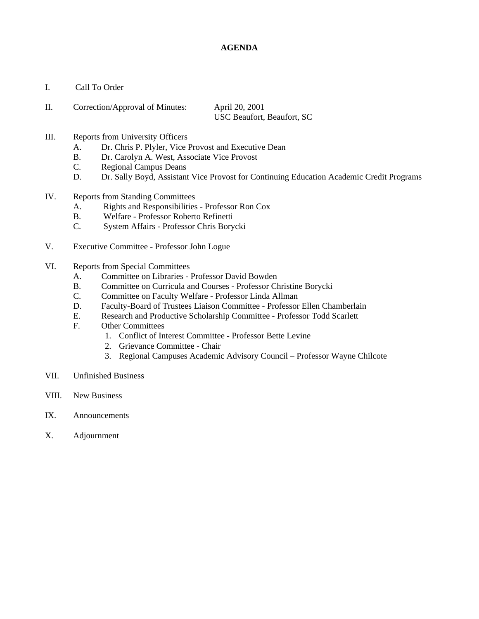# **AGENDA**

- I. Call To Order
- II. Correction/Approval of Minutes: April 20, 2001 USC Beaufort, Beaufort, SC
- III. Reports from University Officers
	- A. Dr. Chris P. Plyler, Vice Provost and Executive Dean
	- B. Dr. Carolyn A. West, Associate Vice Provost
	- C. Regional Campus Deans
	- D. Dr. Sally Boyd, Assistant Vice Provost for Continuing Education Academic Credit Programs
- IV. Reports from Standing Committees
	- A. Rights and Responsibilities Professor Ron Cox
	- B. Welfare Professor Roberto Refinetti
	- C. System Affairs Professor Chris Borycki
- V. Executive Committee Professor John Logue
- VI. Reports from Special Committees
	- A. Committee on Libraries Professor David Bowden
	- B. Committee on Curricula and Courses Professor Christine Borycki
	- C. Committee on Faculty Welfare Professor Linda Allman
	- D. Faculty-Board of Trustees Liaison Committee Professor Ellen Chamberlain
	- E. Research and Productive Scholarship Committee Professor Todd Scarlett
	- F. Other Committees
		- 1. Conflict of Interest Committee Professor Bette Levine
		- 2. Grievance Committee Chair
		- 3. Regional Campuses Academic Advisory Council Professor Wayne Chilcote
- VII. Unfinished Business
- VIII. New Business
- IX. Announcements
- X. Adjournment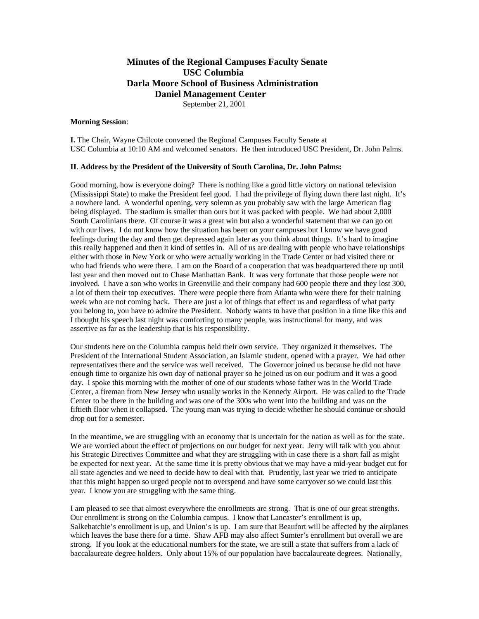# **Minutes of the Regional Campuses Faculty Senate USC Columbia Darla Moore School of Business Administration Daniel Management Center**  September 21, 2001

#### **Morning Session**:

**I.** The Chair, Wayne Chilcote convened the Regional Campuses Faculty Senate at USC Columbia at 10:10 AM and welcomed senators. He then introduced USC President, Dr. John Palms.

#### **II**. **Address by the President of the University of South Carolina, Dr. John Palms:**

Good morning, how is everyone doing? There is nothing like a good little victory on national television (Mississippi State) to make the President feel good. I had the privilege of flying down there last night. It's a nowhere land. A wonderful opening, very solemn as you probably saw with the large American flag being displayed. The stadium is smaller than ours but it was packed with people. We had about 2,000 South Carolinians there. Of course it was a great win but also a wonderful statement that we can go on with our lives. I do not know how the situation has been on your campuses but I know we have good feelings during the day and then get depressed again later as you think about things. It's hard to imagine this really happened and then it kind of settles in. All of us are dealing with people who have relationships either with those in New York or who were actually working in the Trade Center or had visited there or who had friends who were there. I am on the Board of a cooperation that was headquartered there up until last year and then moved out to Chase Manhattan Bank. It was very fortunate that those people were not involved. I have a son who works in Greenville and their company had 600 people there and they lost 300, a lot of them their top executives. There were people there from Atlanta who were there for their training week who are not coming back. There are just a lot of things that effect us and regardless of what party you belong to, you have to admire the President. Nobody wants to have that position in a time like this and I thought his speech last night was comforting to many people, was instructional for many, and was assertive as far as the leadership that is his responsibility.

Our students here on the Columbia campus held their own service. They organized it themselves. The President of the International Student Association, an Islamic student, opened with a prayer. We had other representatives there and the service was well received. The Governor joined us because he did not have enough time to organize his own day of national prayer so he joined us on our podium and it was a good day. I spoke this morning with the mother of one of our students whose father was in the World Trade Center, a fireman from New Jersey who usually works in the Kennedy Airport. He was called to the Trade Center to be there in the building and was one of the 300s who went into the building and was on the fiftieth floor when it collapsed. The young man was trying to decide whether he should continue or should drop out for a semester.

In the meantime, we are struggling with an economy that is uncertain for the nation as well as for the state. We are worried about the effect of projections on our budget for next year. Jerry will talk with you about his Strategic Directives Committee and what they are struggling with in case there is a short fall as might be expected for next year. At the same time it is pretty obvious that we may have a mid-year budget cut for all state agencies and we need to decide how to deal with that. Prudently, last year we tried to anticipate that this might happen so urged people not to overspend and have some carryover so we could last this year. I know you are struggling with the same thing.

I am pleased to see that almost everywhere the enrollments are strong. That is one of our great strengths. Our enrollment is strong on the Columbia campus. I know that Lancaster's enrollment is up, Salkehatchie's enrollment is up, and Union's is up. I am sure that Beaufort will be affected by the airplanes which leaves the base there for a time. Shaw AFB may also affect Sumter's enrollment but overall we are strong. If you look at the educational numbers for the state, we are still a state that suffers from a lack of baccalaureate degree holders. Only about 15% of our population have baccalaureate degrees. Nationally,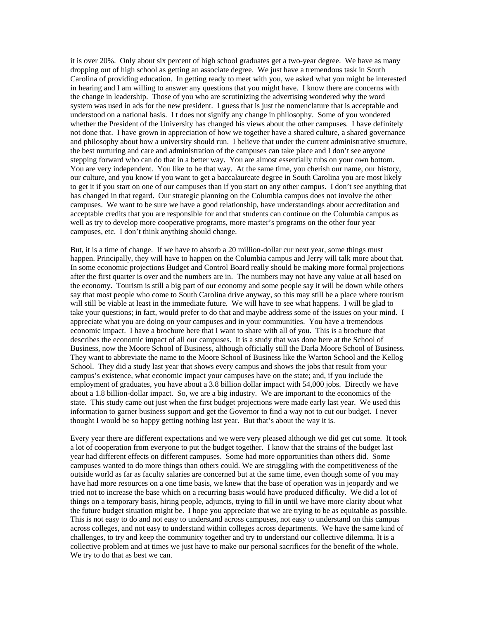it is over 20%. Only about six percent of high school graduates get a two-year degree. We have as many dropping out of high school as getting an associate degree. We just have a tremendous task in South Carolina of providing education. In getting ready to meet with you, we asked what you might be interested in hearing and I am willing to answer any questions that you might have. I know there are concerns with the change in leadership. Those of you who are scrutinizing the advertising wondered why the word system was used in ads for the new president. I guess that is just the nomenclature that is acceptable and understood on a national basis. I t does not signify any change in philosophy. Some of you wondered whether the President of the University has changed his views about the other campuses. I have definitely not done that. I have grown in appreciation of how we together have a shared culture, a shared governance and philosophy about how a university should run. I believe that under the current administrative structure, the best nurturing and care and administration of the campuses can take place and I don't see anyone stepping forward who can do that in a better way. You are almost essentially tubs on your own bottom. You are very independent. You like to be that way. At the same time, you cherish our name, our history, our culture, and you know if you want to get a baccalaureate degree in South Carolina you are most likely to get it if you start on one of our campuses than if you start on any other campus. I don't see anything that has changed in that regard. Our strategic planning on the Columbia campus does not involve the other campuses. We want to be sure we have a good relationship, have understandings about accreditation and acceptable credits that you are responsible for and that students can continue on the Columbia campus as well as try to develop more cooperative programs, more master's programs on the other four year campuses, etc. I don't think anything should change.

But, it is a time of change. If we have to absorb a 20 million-dollar cur next year, some things must happen. Principally, they will have to happen on the Columbia campus and Jerry will talk more about that. In some economic projections Budget and Control Board really should be making more formal projections after the first quarter is over and the numbers are in. The numbers may not have any value at all based on the economy. Tourism is still a big part of our economy and some people say it will be down while others say that most people who come to South Carolina drive anyway, so this may still be a place where tourism will still be viable at least in the immediate future. We will have to see what happens. I will be glad to take your questions; in fact, would prefer to do that and maybe address some of the issues on your mind. I appreciate what you are doing on your campuses and in your communities. You have a tremendous economic impact. I have a brochure here that I want to share with all of you. This is a brochure that describes the economic impact of all our campuses. It is a study that was done here at the School of Business, now the Moore School of Business, although officially still the Darla Moore School of Business. They want to abbreviate the name to the Moore School of Business like the Warton School and the Kellog School. They did a study last year that shows every campus and shows the jobs that result from your campus's existence, what economic impact your campuses have on the state; and, if you include the employment of graduates, you have about a 3.8 billion dollar impact with 54,000 jobs. Directly we have about a 1.8 billion-dollar impact. So, we are a big industry. We are important to the economics of the state. This study came out just when the first budget projections were made early last year. We used this information to garner business support and get the Governor to find a way not to cut our budget. I never thought I would be so happy getting nothing last year. But that's about the way it is.

Every year there are different expectations and we were very pleased although we did get cut some. It took a lot of cooperation from everyone to put the budget together. I know that the strains of the budget last year had different effects on different campuses. Some had more opportunities than others did. Some campuses wanted to do more things than others could. We are struggling with the competitiveness of the outside world as far as faculty salaries are concerned but at the same time, even though some of you may have had more resources on a one time basis, we knew that the base of operation was in jeopardy and we tried not to increase the base which on a recurring basis would have produced difficulty. We did a lot of things on a temporary basis, hiring people, adjuncts, trying to fill in until we have more clarity about what the future budget situation might be. I hope you appreciate that we are trying to be as equitable as possible. This is not easy to do and not easy to understand across campuses, not easy to understand on this campus across colleges, and not easy to understand within colleges across departments. We have the same kind of challenges, to try and keep the community together and try to understand our collective dilemma. It is a collective problem and at times we just have to make our personal sacrifices for the benefit of the whole. We try to do that as best we can.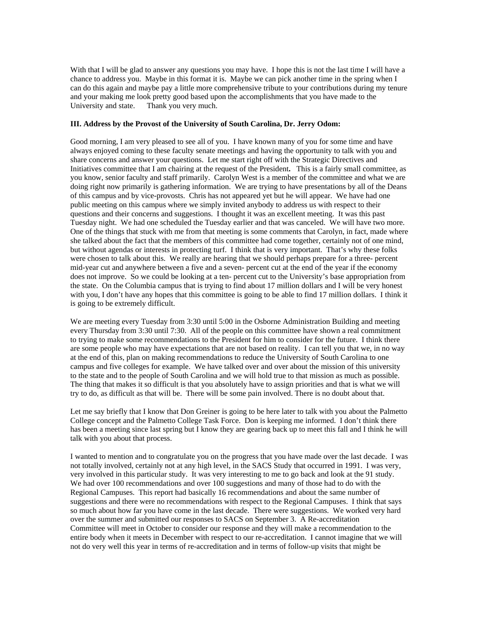With that I will be glad to answer any questions you may have. I hope this is not the last time I will have a chance to address you. Maybe in this format it is. Maybe we can pick another time in the spring when I can do this again and maybe pay a little more comprehensive tribute to your contributions during my tenure and your making me look pretty good based upon the accomplishments that you have made to the University and state. Thank you very much.

#### **III. Address by the Provost of the University of South Carolina, Dr. Jerry Odom:**

Good morning, I am very pleased to see all of you. I have known many of you for some time and have always enjoyed coming to these faculty senate meetings and having the opportunity to talk with you and share concerns and answer your questions. Let me start right off with the Strategic Directives and Initiatives committee that I am chairing at the request of the President**.** This is a fairly small committee, as you know, senior faculty and staff primarily. Carolyn West is a member of the committee and what we are doing right now primarily is gathering information. We are trying to have presentations by all of the Deans of this campus and by vice-provosts. Chris has not appeared yet but he will appear. We have had one public meeting on this campus where we simply invited anybody to address us with respect to their questions and their concerns and suggestions. I thought it was an excellent meeting. It was this past Tuesday night. We had one scheduled the Tuesday earlier and that was canceled. We will have two more. One of the things that stuck with me from that meeting is some comments that Carolyn, in fact, made where she talked about the fact that the members of this committee had come together, certainly not of one mind, but without agendas or interests in protecting turf. I think that is very important. That's why these folks were chosen to talk about this. We really are hearing that we should perhaps prepare for a three- percent mid-year cut and anywhere between a five and a seven- percent cut at the end of the year if the economy does not improve. So we could be looking at a ten- percent cut to the University's base appropriation from the state. On the Columbia campus that is trying to find about 17 million dollars and I will be very honest with you, I don't have any hopes that this committee is going to be able to find 17 million dollars. I think it is going to be extremely difficult.

We are meeting every Tuesday from 3:30 until 5:00 in the Osborne Administration Building and meeting every Thursday from 3:30 until 7:30. All of the people on this committee have shown a real commitment to trying to make some recommendations to the President for him to consider for the future. I think there are some people who may have expectations that are not based on reality. I can tell you that we, in no way at the end of this, plan on making recommendations to reduce the University of South Carolina to one campus and five colleges for example. We have talked over and over about the mission of this university to the state and to the people of South Carolina and we will hold true to that mission as much as possible. The thing that makes it so difficult is that you absolutely have to assign priorities and that is what we will try to do, as difficult as that will be. There will be some pain involved. There is no doubt about that.

Let me say briefly that I know that Don Greiner is going to be here later to talk with you about the Palmetto College concept and the Palmetto College Task Force. Don is keeping me informed. I don't think there has been a meeting since last spring but I know they are gearing back up to meet this fall and I think he will talk with you about that process.

I wanted to mention and to congratulate you on the progress that you have made over the last decade. I was not totally involved, certainly not at any high level, in the SACS Study that occurred in 1991. I was very, very involved in this particular study. It was very interesting to me to go back and look at the 91 study. We had over 100 recommendations and over 100 suggestions and many of those had to do with the Regional Campuses. This report had basically 16 recommendations and about the same number of suggestions and there were no recommendations with respect to the Regional Campuses. I think that says so much about how far you have come in the last decade. There were suggestions. We worked very hard over the summer and submitted our responses to SACS on September 3. A Re-accreditation Committee will meet in October to consider our response and they will make a recommendation to the entire body when it meets in December with respect to our re-accreditation. I cannot imagine that we will not do very well this year in terms of re-accreditation and in terms of follow-up visits that might be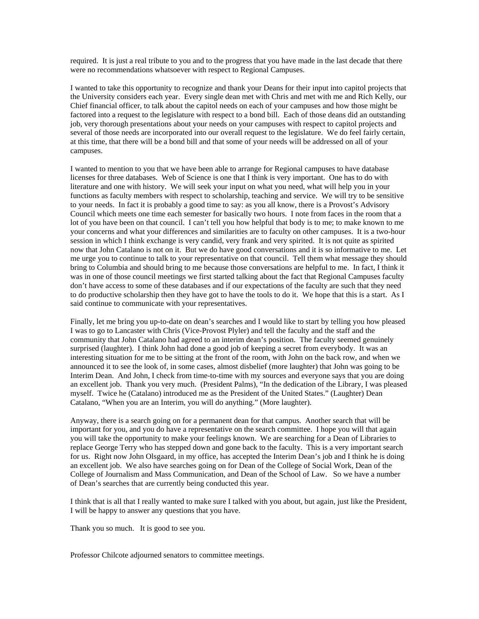required. It is just a real tribute to you and to the progress that you have made in the last decade that there were no recommendations whatsoever with respect to Regional Campuses.

I wanted to take this opportunity to recognize and thank your Deans for their input into capitol projects that the University considers each year. Every single dean met with Chris and met with me and Rich Kelly, our Chief financial officer, to talk about the capitol needs on each of your campuses and how those might be factored into a request to the legislature with respect to a bond bill. Each of those deans did an outstanding job, very thorough presentations about your needs on your campuses with respect to capitol projects and several of those needs are incorporated into our overall request to the legislature. We do feel fairly certain, at this time, that there will be a bond bill and that some of your needs will be addressed on all of your campuses.

I wanted to mention to you that we have been able to arrange for Regional campuses to have database licenses for three databases. Web of Science is one that I think is very important. One has to do with literature and one with history. We will seek your input on what you need, what will help you in your functions as faculty members with respect to scholarship, teaching and service. We will try to be sensitive to your needs. In fact it is probably a good time to say: as you all know, there is a Provost's Advisory Council which meets one time each semester for basically two hours. I note from faces in the room that a lot of you have been on that council. I can't tell you how helpful that body is to me; to make known to me your concerns and what your differences and similarities are to faculty on other campuses. It is a two-hour session in which I think exchange is very candid, very frank and very spirited. It is not quite as spirited now that John Catalano is not on it. But we do have good conversations and it is so informative to me. Let me urge you to continue to talk to your representative on that council. Tell them what message they should bring to Columbia and should bring to me because those conversations are helpful to me. In fact, I think it was in one of those council meetings we first started talking about the fact that Regional Campuses faculty don't have access to some of these databases and if our expectations of the faculty are such that they need to do productive scholarship then they have got to have the tools to do it. We hope that this is a start. As I said continue to communicate with your representatives.

Finally, let me bring you up-to-date on dean's searches and I would like to start by telling you how pleased I was to go to Lancaster with Chris (Vice-Provost Plyler) and tell the faculty and the staff and the community that John Catalano had agreed to an interim dean's position. The faculty seemed genuinely surprised (laughter). I think John had done a good job of keeping a secret from everybody. It was an interesting situation for me to be sitting at the front of the room, with John on the back row, and when we announced it to see the look of, in some cases, almost disbelief (more laughter) that John was going to be Interim Dean. And John, I check from time-to-time with my sources and everyone says that you are doing an excellent job. Thank you very much. (President Palms), "In the dedication of the Library, I was pleased myself. Twice he (Catalano) introduced me as the President of the United States." (Laughter) Dean Catalano, "When you are an Interim, you will do anything." (More laughter).

Anyway, there is a search going on for a permanent dean for that campus. Another search that will be important for you, and you do have a representative on the search committee. I hope you will that again you will take the opportunity to make your feelings known. We are searching for a Dean of Libraries to replace George Terry who has stepped down and gone back to the faculty. This is a very important search for us. Right now John Olsgaard, in my office, has accepted the Interim Dean's job and I think he is doing an excellent job. We also have searches going on for Dean of the College of Social Work, Dean of the College of Journalism and Mass Communication, and Dean of the School of Law. So we have a number of Dean's searches that are currently being conducted this year.

I think that is all that I really wanted to make sure I talked with you about, but again, just like the President, I will be happy to answer any questions that you have.

Thank you so much. It is good to see you.

Professor Chilcote adjourned senators to committee meetings.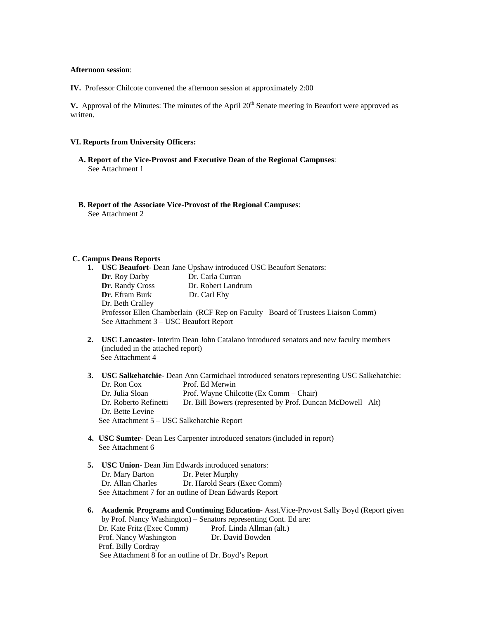#### **Afternoon session**:

**IV.** Professor Chilcote convened the afternoon session at approximately 2:00

**V.** Approval of the Minutes: The minutes of the April 20<sup>th</sup> Senate meeting in Beaufort were approved as written.

#### **VI. Reports from University Officers:**

- **A. Report of the Vice-Provost and Executive Dean of the Regional Campuses**: See Attachment 1
- **B. Report of the Associate Vice-Provost of the Regional Campuses**: See Attachment 2

#### **C. Campus Deans Reports**

|                                        | <b>USC Beaufort-</b> Dean Jane Upshaw introduced USC Beaufort Senators:          |
|----------------------------------------|----------------------------------------------------------------------------------|
| <b>Dr.</b> Roy Darby                   | Dr. Carla Curran                                                                 |
| Dr. Randy Cross                        | Dr. Robert Landrum                                                               |
| <b>Dr.</b> Efram Burk                  | Dr. Carl Eby                                                                     |
| Dr. Beth Cralley                       |                                                                                  |
|                                        | Professor Ellen Chamberlain (RCF Rep on Faculty -Board of Trustees Liaison Comm) |
| See Attachment 3 – USC Beaufort Report |                                                                                  |

- **2. USC Lancaster** Interim Dean John Catalano introduced senators and new faculty members **(**included in the attached report) See Attachment 4
- **3. USC Salkehatchie** Dean Ann Carmichael introduced senators representing USC Salkehatchie: Dr. Ron Cox Prof. Ed Merwin Dr. Julia Sloan Prof. Wayne Chilcotte (Ex Comm – Chair) Dr. Roberto Refinetti Dr. Bill Bowers (represented by Prof. Duncan McDowell –Alt) Dr. Bette Levine See Attachment 5 – USC Salkehatchie Report
- **4. USC Sumter** Dean Les Carpenter introduced senators (included in report) See Attachment 6
- **5. USC Union** Dean Jim Edwards introduced senators: Dr. Mary Barton Dr. Peter Murphy Dr. Allan Charles Dr. Harold Sears (Exec Comm) See Attachment 7 for an outline of Dean Edwards Report
- **6. Academic Programs and Continuing Education** Asst.Vice-Provost Sally Boyd (Report given by Prof. Nancy Washington) – Senators representing Cont. Ed are: Dr. Kate Fritz (Exec Comm) Prof. Linda Allman (alt.) Prof. Nancy Washington Dr. David Bowden Prof. Billy Cordray See Attachment 8 for an outline of Dr. Boyd's Report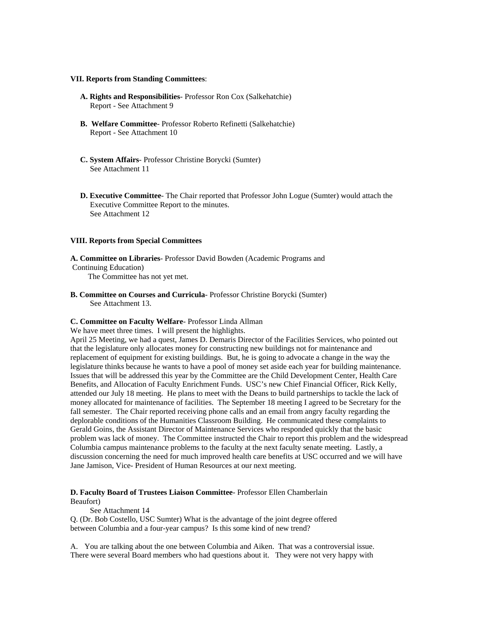#### **VII. Reports from Standing Committees**:

- **A. Rights and Responsibilities** Professor Ron Cox (Salkehatchie) Report - See Attachment 9
- **B. Welfare Committee** Professor Roberto Refinetti (Salkehatchie) Report - See Attachment 10
- **C. System Affairs** Professor Christine Borycki (Sumter) See Attachment 11
- **D. Executive Committee** The Chair reported that Professor John Logue (Sumter) would attach the Executive Committee Report to the minutes. See Attachment 12

#### **VIII. Reports from Special Committees**

**A. Committee on Libraries**- Professor David Bowden (Academic Programs and

Continuing Education)

The Committee has not yet met.

**B. Committee on Courses and Curricula**- Professor Christine Borycki (Sumter) See Attachment 13.

#### **C. Committee on Faculty Welfare**- Professor Linda Allman

We have meet three times. I will present the highlights.

April 25 Meeting, we had a quest, James D. Demaris Director of the Facilities Services, who pointed out that the legislature only allocates money for constructing new buildings not for maintenance and replacement of equipment for existing buildings. But, he is going to advocate a change in the way the legislature thinks because he wants to have a pool of money set aside each year for building maintenance. Issues that will be addressed this year by the Committee are the Child Development Center, Health Care Benefits, and Allocation of Faculty Enrichment Funds. USC's new Chief Financial Officer, Rick Kelly, attended our July 18 meeting. He plans to meet with the Deans to build partnerships to tackle the lack of money allocated for maintenance of facilities. The September 18 meeting I agreed to be Secretary for the fall semester. The Chair reported receiving phone calls and an email from angry faculty regarding the deplorable conditions of the Humanities Classroom Building. He communicated these complaints to Gerald Goins, the Assistant Director of Maintenance Services who responded quickly that the basic problem was lack of money. The Committee instructed the Chair to report this problem and the widespread Columbia campus maintenance problems to the faculty at the next faculty senate meeting. Lastly, a discussion concerning the need for much improved health care benefits at USC occurred and we will have Jane Jamison, Vice- President of Human Resources at our next meeting.

# **D. Faculty Board of Trustees Liaison Committee**- Professor Ellen Chamberlain

Beaufort) See Attachment 14

Q. (Dr. Bob Costello, USC Sumter) What is the advantage of the joint degree offered between Columbia and a four-year campus? Is this some kind of new trend?

A. You are talking about the one between Columbia and Aiken. That was a controversial issue. There were several Board members who had questions about it. They were not very happy with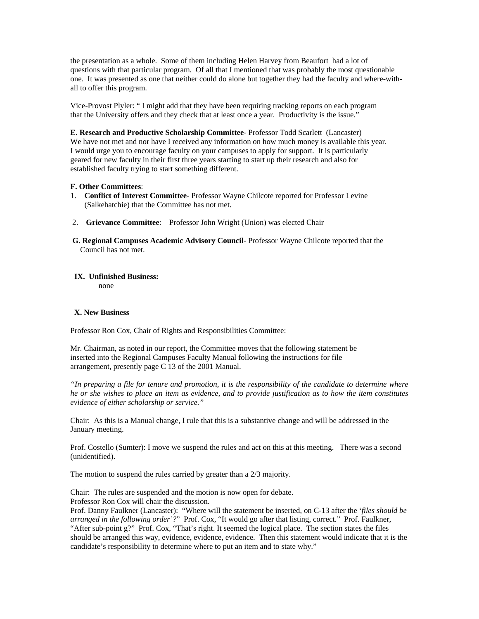the presentation as a whole. Some of them including Helen Harvey from Beaufort had a lot of questions with that particular program. Of all that I mentioned that was probably the most questionable one. It was presented as one that neither could do alone but together they had the faculty and where-withall to offer this program.

Vice-Provost Plyler: " I might add that they have been requiring tracking reports on each program that the University offers and they check that at least once a year. Productivity is the issue."

**E. Research and Productive Scholarship Committee**- Professor Todd Scarlett (Lancaster) We have not met and nor have I received any information on how much money is available this year. I would urge you to encourage faculty on your campuses to apply for support. It is particularly geared for new faculty in their first three years starting to start up their research and also for established faculty trying to start something different.

#### **F. Other Committees**:

- 1. **Conflict of Interest Committee** Professor Wayne Chilcote reported for Professor Levine (Salkehatchie) that the Committee has not met.
- 2. **Grievance Committee**: Professor John Wright (Union) was elected Chair
- **G. Regional Campuses Academic Advisory Council** Professor Wayne Chilcote reported that the Council has not met.

#### **IX. Unfinished Business:**

none

#### **X. New Business**

Professor Ron Cox, Chair of Rights and Responsibilities Committee:

Mr. Chairman, as noted in our report, the Committee moves that the following statement be inserted into the Regional Campuses Faculty Manual following the instructions for file arrangement, presently page C 13 of the 2001 Manual.

*"In preparing a file for tenure and promotion, it is the responsibility of the candidate to determine where he or she wishes to place an item as evidence, and to provide justification as to how the item constitutes evidence of either scholarship or service."* 

Chair: As this is a Manual change, I rule that this is a substantive change and will be addressed in the January meeting.

Prof. Costello (Sumter): I move we suspend the rules and act on this at this meeting. There was a second (unidentified).

The motion to suspend the rules carried by greater than a 2/3 majority.

Chair: The rules are suspended and the motion is now open for debate. Professor Ron Cox will chair the discussion.

Prof. Danny Faulkner (Lancaster): "Where will the statement be inserted, on C-13 after the '*files should be arranged in the following order'?*" Prof. Cox, "It would go after that listing, correct." Prof. Faulkner, "After sub-point g?" Prof. Cox, "That's right. It seemed the logical place. The section states the files should be arranged this way, evidence, evidence, evidence. Then this statement would indicate that it is the candidate's responsibility to determine where to put an item and to state why."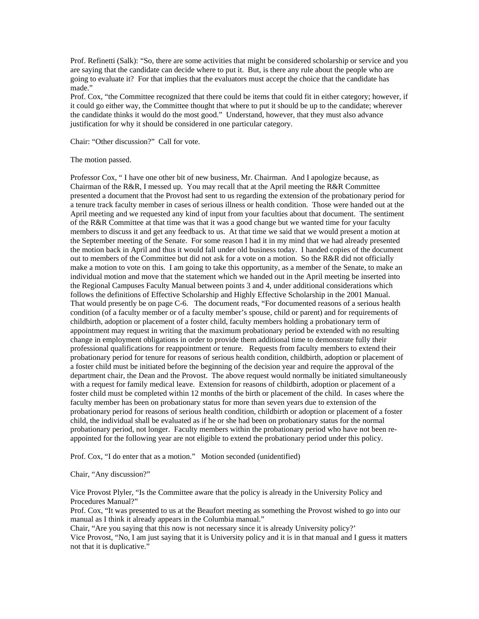Prof. Refinetti (Salk): "So, there are some activities that might be considered scholarship or service and you are saying that the candidate can decide where to put it. But, is there any rule about the people who are going to evaluate it? For that implies that the evaluators must accept the choice that the candidate has made."

Prof. Cox, "the Committee recognized that there could be items that could fit in either category; however, if it could go either way, the Committee thought that where to put it should be up to the candidate; wherever the candidate thinks it would do the most good." Understand, however, that they must also advance justification for why it should be considered in one particular category.

Chair: "Other discussion?" Call for vote.

#### The motion passed.

Professor Cox, " I have one other bit of new business, Mr. Chairman. And I apologize because, as Chairman of the R&R, I messed up. You may recall that at the April meeting the R&R Committee presented a document that the Provost had sent to us regarding the extension of the probationary period for a tenure track faculty member in cases of serious illness or health condition. Those were handed out at the April meeting and we requested any kind of input from your faculties about that document. The sentiment of the R&R Committee at that time was that it was a good change but we wanted time for your faculty members to discuss it and get any feedback to us. At that time we said that we would present a motion at the September meeting of the Senate. For some reason I had it in my mind that we had already presented the motion back in April and thus it would fall under old business today. I handed copies of the document out to members of the Committee but did not ask for a vote on a motion. So the R&R did not officially make a motion to vote on this. I am going to take this opportunity, as a member of the Senate, to make an individual motion and move that the statement which we handed out in the April meeting be inserted into the Regional Campuses Faculty Manual between points 3 and 4, under additional considerations which follows the definitions of Effective Scholarship and Highly Effective Scholarship in the 2001 Manual. That would presently be on page C-6. The document reads, "For documented reasons of a serious health condition (of a faculty member or of a faculty member's spouse, child or parent) and for requirements of childbirth, adoption or placement of a foster child, faculty members holding a probationary term of appointment may request in writing that the maximum probationary period be extended with no resulting change in employment obligations in order to provide them additional time to demonstrate fully their professional qualifications for reappointment or tenure. Requests from faculty members to extend their probationary period for tenure for reasons of serious health condition, childbirth, adoption or placement of a foster child must be initiated before the beginning of the decision year and require the approval of the department chair, the Dean and the Provost. The above request would normally be initiated simultaneously with a request for family medical leave. Extension for reasons of childbirth, adoption or placement of a foster child must be completed within 12 months of the birth or placement of the child. In cases where the faculty member has been on probationary status for more than seven years due to extension of the probationary period for reasons of serious health condition, childbirth or adoption or placement of a foster child, the individual shall be evaluated as if he or she had been on probationary status for the normal probationary period, not longer. Faculty members within the probationary period who have not been reappointed for the following year are not eligible to extend the probationary period under this policy.

Prof. Cox, "I do enter that as a motion." Motion seconded (unidentified)

Chair, "Any discussion?"

Vice Provost Plyler, "Is the Committee aware that the policy is already in the University Policy and Procedures Manual?"

Prof. Cox, "It was presented to us at the Beaufort meeting as something the Provost wished to go into our manual as I think it already appears in the Columbia manual."

Chair, "Are you saying that this now is not necessary since it is already University policy?' Vice Provost, "No, I am just saying that it is University policy and it is in that manual and I guess it matters not that it is duplicative."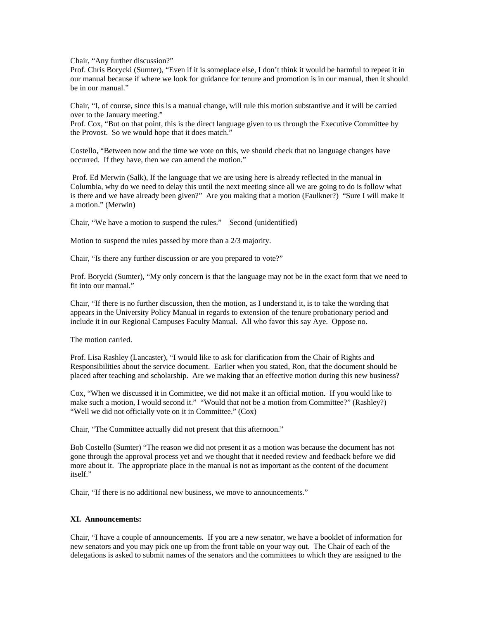Chair, "Any further discussion?"

Prof. Chris Borycki (Sumter), "Even if it is someplace else, I don't think it would be harmful to repeat it in our manual because if where we look for guidance for tenure and promotion is in our manual, then it should be in our manual."

Chair, "I, of course, since this is a manual change, will rule this motion substantive and it will be carried over to the January meeting."

Prof. Cox, "But on that point, this is the direct language given to us through the Executive Committee by the Provost. So we would hope that it does match."

Costello, "Between now and the time we vote on this, we should check that no language changes have occurred. If they have, then we can amend the motion."

 Prof. Ed Merwin (Salk), If the language that we are using here is already reflected in the manual in Columbia, why do we need to delay this until the next meeting since all we are going to do is follow what is there and we have already been given?" Are you making that a motion (Faulkner?) "Sure I will make it a motion." (Merwin)

Chair, "We have a motion to suspend the rules." Second (unidentified)

Motion to suspend the rules passed by more than a 2/3 majority.

Chair, "Is there any further discussion or are you prepared to vote?"

Prof. Borycki (Sumter), "My only concern is that the language may not be in the exact form that we need to fit into our manual."

Chair, "If there is no further discussion, then the motion, as I understand it, is to take the wording that appears in the University Policy Manual in regards to extension of the tenure probationary period and include it in our Regional Campuses Faculty Manual. All who favor this say Aye. Oppose no.

The motion carried.

Prof. Lisa Rashley (Lancaster), "I would like to ask for clarification from the Chair of Rights and Responsibilities about the service document. Earlier when you stated, Ron, that the document should be placed after teaching and scholarship. Are we making that an effective motion during this new business?

Cox, "When we discussed it in Committee, we did not make it an official motion. If you would like to make such a motion, I would second it." "Would that not be a motion from Committee?" (Rashley?) "Well we did not officially vote on it in Committee." (Cox)

Chair, "The Committee actually did not present that this afternoon."

Bob Costello (Sumter) "The reason we did not present it as a motion was because the document has not gone through the approval process yet and we thought that it needed review and feedback before we did more about it. The appropriate place in the manual is not as important as the content of the document itself."

Chair, "If there is no additional new business, we move to announcements."

#### **XI. Announcements:**

Chair, "I have a couple of announcements. If you are a new senator, we have a booklet of information for new senators and you may pick one up from the front table on your way out. The Chair of each of the delegations is asked to submit names of the senators and the committees to which they are assigned to the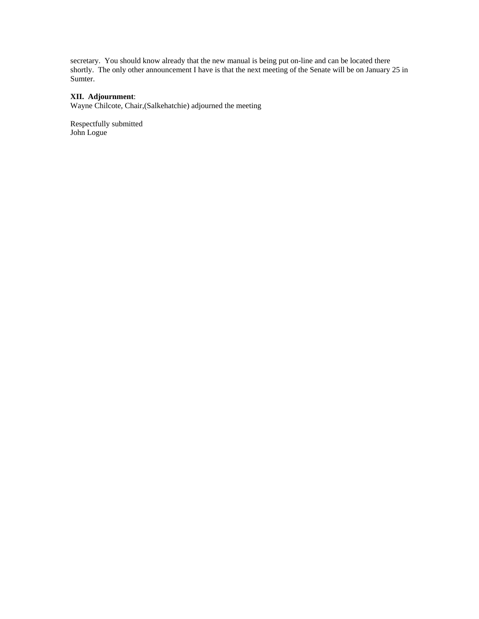secretary. You should know already that the new manual is being put on-line and can be located there shortly. The only other announcement I have is that the next meeting of the Senate will be on January 25 in Sumter.

#### **XII. Adjournment**:

Wayne Chilcote, Chair,(Salkehatchie) adjourned the meeting

Respectfully submitted John Logue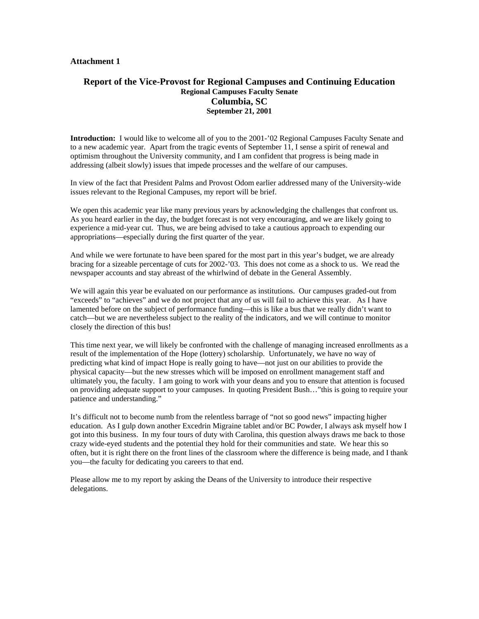# **Report of the Vice-Provost for Regional Campuses and Continuing Education Regional Campuses Faculty Senate Columbia, SC September 21, 2001**

**Introduction:** I would like to welcome all of you to the 2001-'02 Regional Campuses Faculty Senate and to a new academic year. Apart from the tragic events of September 11, I sense a spirit of renewal and optimism throughout the University community, and I am confident that progress is being made in addressing (albeit slowly) issues that impede processes and the welfare of our campuses.

In view of the fact that President Palms and Provost Odom earlier addressed many of the University-wide issues relevant to the Regional Campuses, my report will be brief.

We open this academic year like many previous years by acknowledging the challenges that confront us. As you heard earlier in the day, the budget forecast is not very encouraging, and we are likely going to experience a mid-year cut. Thus, we are being advised to take a cautious approach to expending our appropriations—especially during the first quarter of the year.

And while we were fortunate to have been spared for the most part in this year's budget, we are already bracing for a sizeable percentage of cuts for 2002-'03. This does not come as a shock to us. We read the newspaper accounts and stay abreast of the whirlwind of debate in the General Assembly.

We will again this year be evaluated on our performance as institutions. Our campuses graded-out from "exceeds" to "achieves" and we do not project that any of us will fail to achieve this year. As I have lamented before on the subject of performance funding—this is like a bus that we really didn't want to catch—but we are nevertheless subject to the reality of the indicators, and we will continue to monitor closely the direction of this bus!

This time next year, we will likely be confronted with the challenge of managing increased enrollments as a result of the implementation of the Hope (lottery) scholarship. Unfortunately, we have no way of predicting what kind of impact Hope is really going to have—not just on our abilities to provide the physical capacity—but the new stresses which will be imposed on enrollment management staff and ultimately you, the faculty. I am going to work with your deans and you to ensure that attention is focused on providing adequate support to your campuses. In quoting President Bush…"this is going to require your patience and understanding."

It's difficult not to become numb from the relentless barrage of "not so good news" impacting higher education. As I gulp down another Excedrin Migraine tablet and/or BC Powder, I always ask myself how I got into this business. In my four tours of duty with Carolina, this question always draws me back to those crazy wide-eyed students and the potential they hold for their communities and state. We hear this so often, but it is right there on the front lines of the classroom where the difference is being made, and I thank you—the faculty for dedicating you careers to that end.

Please allow me to my report by asking the Deans of the University to introduce their respective delegations.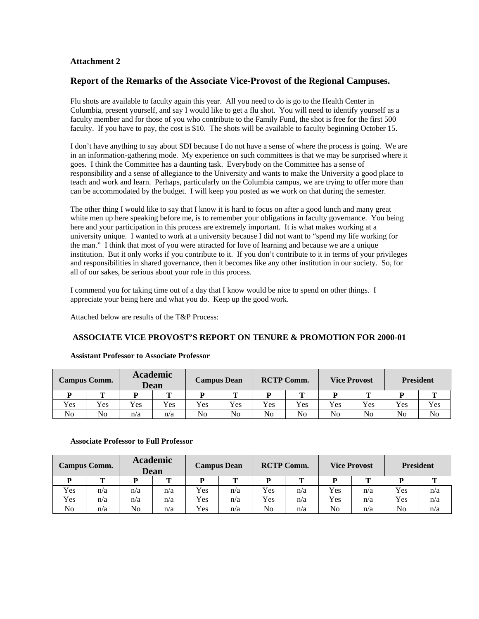# **Report of the Remarks of the Associate Vice-Provost of the Regional Campuses.**

Flu shots are available to faculty again this year. All you need to do is go to the Health Center in Columbia, present yourself, and say I would like to get a flu shot. You will need to identify yourself as a faculty member and for those of you who contribute to the Family Fund, the shot is free for the first 500 faculty. If you have to pay, the cost is \$10. The shots will be available to faculty beginning October 15.

I don't have anything to say about SDI because I do not have a sense of where the process is going. We are in an information-gathering mode. My experience on such committees is that we may be surprised where it goes. I think the Committee has a daunting task. Everybody on the Committee has a sense of responsibility and a sense of allegiance to the University and wants to make the University a good place to teach and work and learn. Perhaps, particularly on the Columbia campus, we are trying to offer more than can be accommodated by the budget. I will keep you posted as we work on that during the semester.

The other thing I would like to say that I know it is hard to focus on after a good lunch and many great white men up here speaking before me, is to remember your obligations in faculty governance. You being here and your participation in this process are extremely important. It is what makes working at a university unique. I wanted to work at a university because I did not want to "spend my life working for the man." I think that most of you were attracted for love of learning and because we are a unique institution. But it only works if you contribute to it. If you don't contribute to it in terms of your privileges and responsibilities in shared governance, then it becomes like any other institution in our society. So, for all of our sakes, be serious about your role in this process.

I commend you for taking time out of a day that I know would be nice to spend on other things. I appreciate your being here and what you do. Keep up the good work.

Attached below are results of the T&P Process:

### **ASSOCIATE VICE PROVOST'S REPORT ON TENURE & PROMOTION FOR 2000-01**

|                | <b>Campus Comm.</b> |     | <b>Academic</b><br>Dean | <b>Campus Dean</b> |     | <b>RCTP Comm.</b> |     | <b>Vice Provost</b> |     | <b>President</b> |     |
|----------------|---------------------|-----|-------------------------|--------------------|-----|-------------------|-----|---------------------|-----|------------------|-----|
|                | m                   |     | m                       | D                  | m   | D                 | m   |                     | m   |                  | m   |
| Yes            | Yes                 | Yes | Yes                     | Yes                | Yes | <b>Yes</b>        | Yes | Yes                 | Yes | <b>Yes</b>       | Yes |
| N <sub>o</sub> | N <sub>o</sub>      | n/a | n/a                     | No                 | No  | No                | No  | N <sub>0</sub>      | No  | N <sub>o</sub>   | No  |

# **Assistant Professor to Associate Professor**

#### **Associate Professor to Full Professor**

|     | <b>Campus Comm.</b> |     | <b>Academic</b><br>Dean |            | <b>Campus Dean</b> |     | <b>RCTP Comm.</b> |                | <b>Vice Provost</b> | <b>President</b> |     |
|-----|---------------------|-----|-------------------------|------------|--------------------|-----|-------------------|----------------|---------------------|------------------|-----|
|     |                     |     |                         | D          |                    |     |                   |                |                     |                  |     |
| Yes | n/a                 | n/a | n/a                     | Yes        | n/a                | Yes | n/a               | Yes            | n/a                 | <b>Yes</b>       | n/a |
| Yes | n/a                 | n/a | n/a                     | Yes        | n/a                | Yes | n/a               | Yes            | n/a                 | Yes              | n/a |
| No  | n/a                 | No  | n/a                     | <b>Yes</b> | n/a                | No  | n/a               | N <sub>o</sub> | n/a                 | No               | n/a |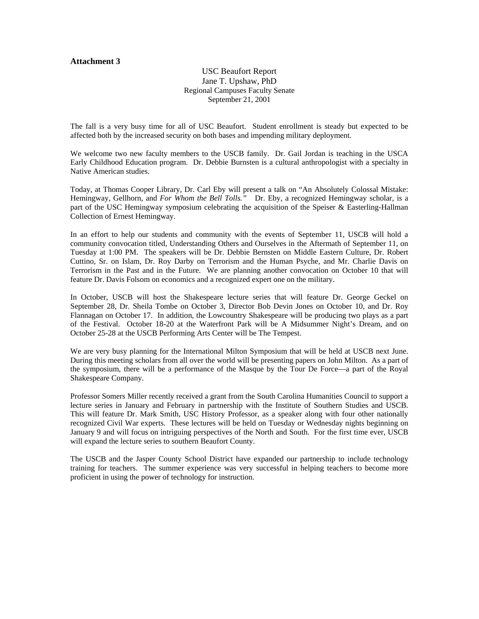USC Beaufort Report Jane T. Upshaw, PhD Regional Campuses Faculty Senate September 21, 2001

The fall is a very busy time for all of USC Beaufort. Student enrollment is steady but expected to be affected both by the increased security on both bases and impending military deployment.

We welcome two new faculty members to the USCB family. Dr. Gail Jordan is teaching in the USCA Early Childhood Education program. Dr. Debbie Burnsten is a cultural anthropologist with a specialty in Native American studies.

Today, at Thomas Cooper Library, Dr. Carl Eby will present a talk on "An Absolutely Colossal Mistake: Hemingway, Gellhorn, and *For Whom the Bell Tolls.*" Dr. Eby, a recognized Hemingway scholar, is a part of the USC Hemingway symposium celebrating the acquisition of the Speiser & Easterling-Hallman Collection of Ernest Hemingway.

In an effort to help our students and community with the events of September 11, USCB will hold a community convocation titled, Understanding Others and Ourselves in the Aftermath of September 11, on Tuesday at 1:00 PM. The speakers will be Dr. Debbie Bernsten on Middle Eastern Culture, Dr. Robert Cuttino, Sr. on Islam, Dr. Roy Darby on Terrorism and the Human Psyche, and Mr. Charlie Davis on Terrorism in the Past and in the Future. We are planning another convocation on October 10 that will feature Dr. Davis Folsom on economics and a recognized expert one on the military.

In October, USCB will host the Shakespeare lecture series that will feature Dr. George Geckel on September 28, Dr. Sheila Tombe on October 3, Director Bob Devin Jones on October 10, and Dr. Roy Flannagan on October 17. In addition, the Lowcountry Shakespeare will be producing two plays as a part of the Festival. October 18-20 at the Waterfront Park will be A Midsummer Night's Dream, and on October 25-28 at the USCB Performing Arts Center will be The Tempest.

We are very busy planning for the International Milton Symposium that will be held at USCB next June. During this meeting scholars from all over the world will be presenting papers on John Milton. As a part of the symposium, there will be a performance of the Masque by the Tour De Force—a part of the Royal Shakespeare Company.

Professor Somers Miller recently received a grant from the South Carolina Humanities Council to support a lecture series in January and February in partnership with the Institute of Southern Studies and USCB. This will feature Dr. Mark Smith, USC History Professor, as a speaker along with four other nationally recognized Civil War experts. These lectures will be held on Tuesday or Wednesday nights beginning on January 9 and will focus on intriguing perspectives of the North and South. For the first time ever, USCB will expand the lecture series to southern Beaufort County.

The USCB and the Jasper County School District have expanded our partnership to include technology training for teachers. The summer experience was very successful in helping teachers to become more proficient in using the power of technology for instruction.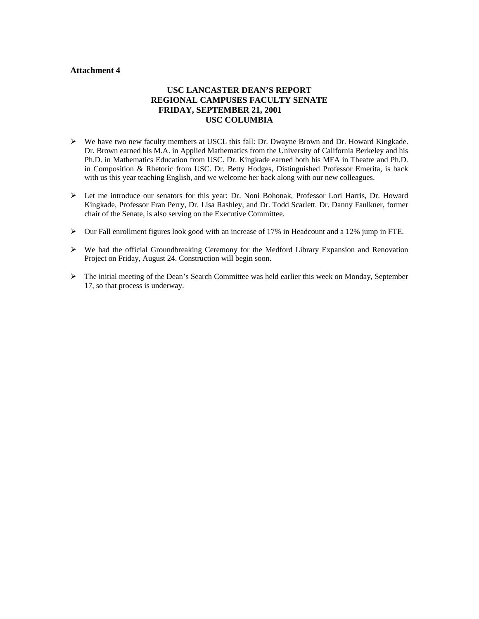# **USC LANCASTER DEAN'S REPORT REGIONAL CAMPUSES FACULTY SENATE FRIDAY, SEPTEMBER 21, 2001 USC COLUMBIA**

- ¾ We have two new faculty members at USCL this fall: Dr. Dwayne Brown and Dr. Howard Kingkade. Dr. Brown earned his M.A. in Applied Mathematics from the University of California Berkeley and his Ph.D. in Mathematics Education from USC. Dr. Kingkade earned both his MFA in Theatre and Ph.D. in Composition & Rhetoric from USC. Dr. Betty Hodges, Distinguished Professor Emerita, is back with us this year teaching English, and we welcome her back along with our new colleagues.
- ¾ Let me introduce our senators for this year: Dr. Noni Bohonak, Professor Lori Harris, Dr. Howard Kingkade, Professor Fran Perry, Dr. Lisa Rashley, and Dr. Todd Scarlett. Dr. Danny Faulkner, former chair of the Senate, is also serving on the Executive Committee.
- ¾ Our Fall enrollment figures look good with an increase of 17% in Headcount and a 12% jump in FTE.
- $\triangleright$  We had the official Groundbreaking Ceremony for the Medford Library Expansion and Renovation Project on Friday, August 24. Construction will begin soon.
- $\triangleright$  The initial meeting of the Dean's Search Committee was held earlier this week on Monday, September 17, so that process is underway.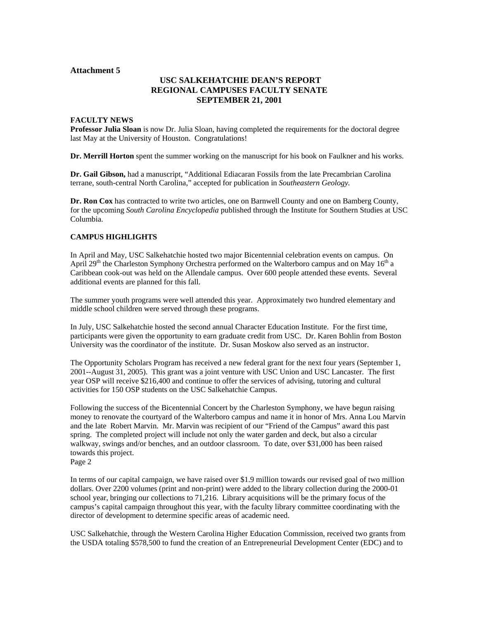# **USC SALKEHATCHIE DEAN'S REPORT REGIONAL CAMPUSES FACULTY SENATE SEPTEMBER 21, 2001**

#### **FACULTY NEWS**

**Professor Julia Sloan** is now Dr. Julia Sloan, having completed the requirements for the doctoral degree last May at the University of Houston. Congratulations!

**Dr. Merrill Horton** spent the summer working on the manuscript for his book on Faulkner and his works.

**Dr. Gail Gibson,** had a manuscript, "Additional Ediacaran Fossils from the late Precambrian Carolina terrane, south-central North Carolina," accepted for publication in *Southeastern Geology.*

**Dr. Ron Cox** has contracted to write two articles, one on Barnwell County and one on Bamberg County, for the upcoming *South Carolina Encyclopedia* published through the Institute for Southern Studies at USC Columbia.

#### **CAMPUS HIGHLIGHTS**

In April and May, USC Salkehatchie hosted two major Bicentennial celebration events on campus. On April 29<sup>th</sup> the Charleston Symphony Orchestra performed on the Walterboro campus and on May 16<sup>th</sup> a Caribbean cook-out was held on the Allendale campus. Over 600 people attended these events. Several additional events are planned for this fall.

The summer youth programs were well attended this year. Approximately two hundred elementary and middle school children were served through these programs.

In July, USC Salkehatchie hosted the second annual Character Education Institute. For the first time, participants were given the opportunity to earn graduate credit from USC. Dr. Karen Bohlin from Boston University was the coordinator of the institute. Dr. Susan Moskow also served as an instructor.

The Opportunity Scholars Program has received a new federal grant for the next four years (September 1, 2001--August 31, 2005). This grant was a joint venture with USC Union and USC Lancaster. The first year OSP will receive \$216,400 and continue to offer the services of advising, tutoring and cultural activities for 150 OSP students on the USC Salkehatchie Campus.

Following the success of the Bicentennial Concert by the Charleston Symphony, we have begun raising money to renovate the courtyard of the Walterboro campus and name it in honor of Mrs. Anna Lou Marvin and the late Robert Marvin. Mr. Marvin was recipient of our "Friend of the Campus" award this past spring. The completed project will include not only the water garden and deck, but also a circular walkway, swings and/or benches, and an outdoor classroom. To date, over \$31,000 has been raised towards this project.

Page 2

In terms of our capital campaign, we have raised over \$1.9 million towards our revised goal of two million dollars. Over 2200 volumes (print and non-print) were added to the library collection during the 2000-01 school year, bringing our collections to 71,216. Library acquisitions will be the primary focus of the campus's capital campaign throughout this year, with the faculty library committee coordinating with the director of development to determine specific areas of academic need.

USC Salkehatchie, through the Western Carolina Higher Education Commission, received two grants from the USDA totaling \$578,500 to fund the creation of an Entrepreneurial Development Center (EDC) and to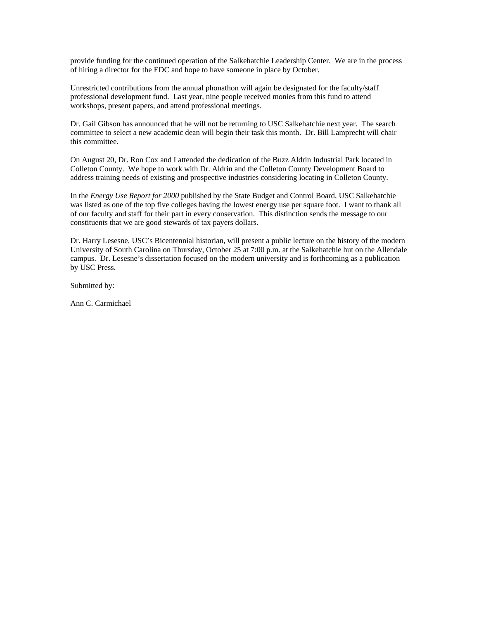provide funding for the continued operation of the Salkehatchie Leadership Center. We are in the process of hiring a director for the EDC and hope to have someone in place by October.

Unrestricted contributions from the annual phonathon will again be designated for the faculty/staff professional development fund. Last year, nine people received monies from this fund to attend workshops, present papers, and attend professional meetings.

Dr. Gail Gibson has announced that he will not be returning to USC Salkehatchie next year. The search committee to select a new academic dean will begin their task this month. Dr. Bill Lamprecht will chair this committee.

On August 20, Dr. Ron Cox and I attended the dedication of the Buzz Aldrin Industrial Park located in Colleton County. We hope to work with Dr. Aldrin and the Colleton County Development Board to address training needs of existing and prospective industries considering locating in Colleton County.

In the *Energy Use Report for 2000* published by the State Budget and Control Board, USC Salkehatchie was listed as one of the top five colleges having the lowest energy use per square foot. I want to thank all of our faculty and staff for their part in every conservation. This distinction sends the message to our constituents that we are good stewards of tax payers dollars.

Dr. Harry Lesesne, USC's Bicentennial historian, will present a public lecture on the history of the modern University of South Carolina on Thursday, October 25 at 7:00 p.m. at the Salkehatchie hut on the Allendale campus. Dr. Lesesne's dissertation focused on the modern university and is forthcoming as a publication by USC Press.

Submitted by:

Ann C. Carmichael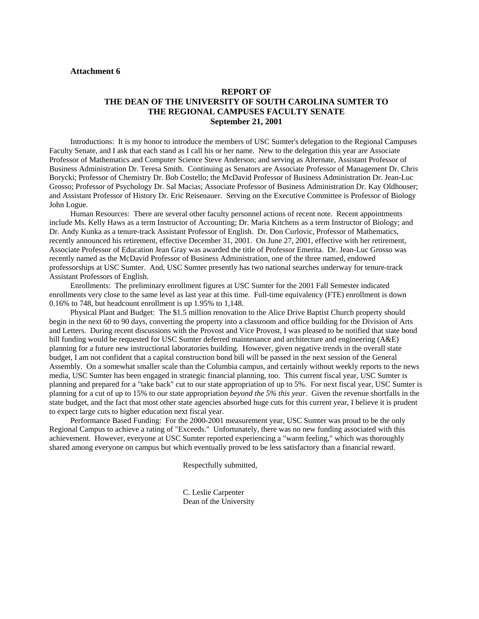# **REPORT OF THE DEAN OF THE UNIVERSITY OF SOUTH CAROLINA SUMTER TO THE REGIONAL CAMPUSES FACULTY SENATE September 21, 2001**

Introductions: It is my honor to introduce the members of USC Sumter's delegation to the Regional Campuses Faculty Senate, and I ask that each stand as I call his or her name. New to the delegation this year are Associate Professor of Mathematics and Computer Science Steve Anderson; and serving as Alternate, Assistant Professor of Business Administration Dr. Teresa Smith. Continuing as Senators are Associate Professor of Management Dr. Chris Borycki; Professor of Chemistry Dr. Bob Costello; the McDavid Professor of Business Administration Dr. Jean-Luc Grosso; Professor of Psychology Dr. Sal Macias; Associate Professor of Business Administration Dr. Kay Oldhouser; and Assistant Professor of History Dr. Eric Reisenauer. Serving on the Executive Committee is Professor of Biology John Logue.

Human Resources: There are several other faculty personnel actions of recent note. Recent appointments include Ms. Kelly Haws as a term Instructor of Accounting; Dr. Maria Kitchens as a term Instructor of Biology; and Dr. Andy Kunka as a tenure-track Assistant Professor of English. Dr. Don Curlovic, Professor of Mathematics, recently announced his retirement, effective December 31, 2001. On June 27, 2001, effective with her retirement, Associate Professor of Education Jean Gray was awarded the title of Professor Emerita. Dr. Jean-Luc Grosso was recently named as the McDavid Professor of Business Administration, one of the three named, endowed professorships at USC Sumter. And, USC Sumter presently has two national searches underway for tenure-track Assistant Professors of English.

Enrollments: The preliminary enrollment figures at USC Sumter for the 2001 Fall Semester indicated enrollments very close to the same level as last year at this time. Full-time equivalency (FTE) enrollment is down 0.16% to 748, but headcount enrollment is up 1.95% to 1,148.

Physical Plant and Budget: The \$1.5 million renovation to the Alice Drive Baptist Church property should begin in the next 60 to 90 days, converting the property into a classroom and office building for the Division of Arts and Letters. During recent discussions with the Provost and Vice Provost, I was pleased to be notified that state bond bill funding would be requested for USC Sumter deferred maintenance and architecture and engineering (A&E) planning for a future new instructional laboratories building. However, given negative trends in the overall state budget, I am not confident that a capital construction bond bill will be passed in the next session of the General Assembly. On a somewhat smaller scale than the Columbia campus, and certainly without weekly reports to the news media, USC Sumter has been engaged in strategic financial planning, too. This current fiscal year, USC Sumter is planning and prepared for a "take back" cut to our state appropriation of up to 5%. For next fiscal year, USC Sumter is planning for a cut of up to 15% to our state appropriation *beyond the 5% this year*. Given the revenue shortfalls in the state budget, and the fact that most other state agencies absorbed huge cuts for this current year, I believe it is prudent to expect large cuts to higher education next fiscal year.

Performance Based Funding: For the 2000-2001 measurement year, USC Sumter was proud to be the only Regional Campus to achieve a rating of "Exceeds." Unfortunately, there was no new funding associated with this achievement. However, everyone at USC Sumter reported experiencing a "warm feeling," which was thoroughly shared among everyone on campus but which eventually proved to be less satisfactory than a financial reward.

Respectfully submitted,

C. Leslie Carpenter Dean of the University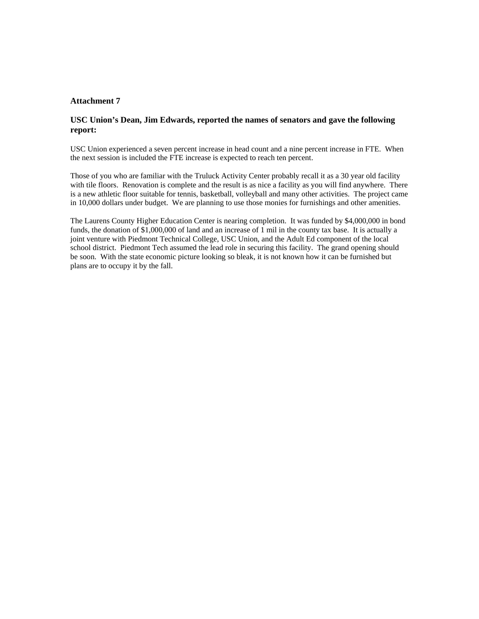### **USC Union's Dean, Jim Edwards, reported the names of senators and gave the following report:**

USC Union experienced a seven percent increase in head count and a nine percent increase in FTE. When the next session is included the FTE increase is expected to reach ten percent.

Those of you who are familiar with the Truluck Activity Center probably recall it as a 30 year old facility with tile floors. Renovation is complete and the result is as nice a facility as you will find anywhere. There is a new athletic floor suitable for tennis, basketball, volleyball and many other activities. The project came in 10,000 dollars under budget. We are planning to use those monies for furnishings and other amenities.

The Laurens County Higher Education Center is nearing completion. It was funded by \$4,000,000 in bond funds, the donation of \$1,000,000 of land and an increase of 1 mil in the county tax base. It is actually a joint venture with Piedmont Technical College, USC Union, and the Adult Ed component of the local school district. Piedmont Tech assumed the lead role in securing this facility. The grand opening should be soon. With the state economic picture looking so bleak, it is not known how it can be furnished but plans are to occupy it by the fall.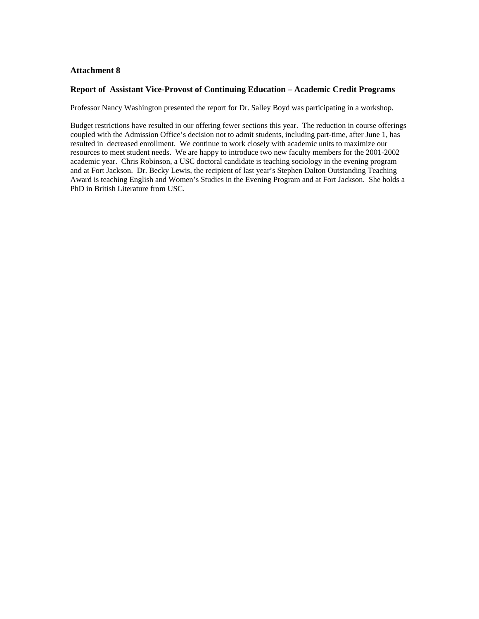#### **Report of Assistant Vice-Provost of Continuing Education – Academic Credit Programs**

Professor Nancy Washington presented the report for Dr. Salley Boyd was participating in a workshop.

Budget restrictions have resulted in our offering fewer sections this year. The reduction in course offerings coupled with the Admission Office's decision not to admit students, including part-time, after June 1, has resulted in decreased enrollment. We continue to work closely with academic units to maximize our resources to meet student needs. We are happy to introduce two new faculty members for the 2001-2002 academic year. Chris Robinson, a USC doctoral candidate is teaching sociology in the evening program and at Fort Jackson. Dr. Becky Lewis, the recipient of last year's Stephen Dalton Outstanding Teaching Award is teaching English and Women's Studies in the Evening Program and at Fort Jackson. She holds a PhD in British Literature from USC.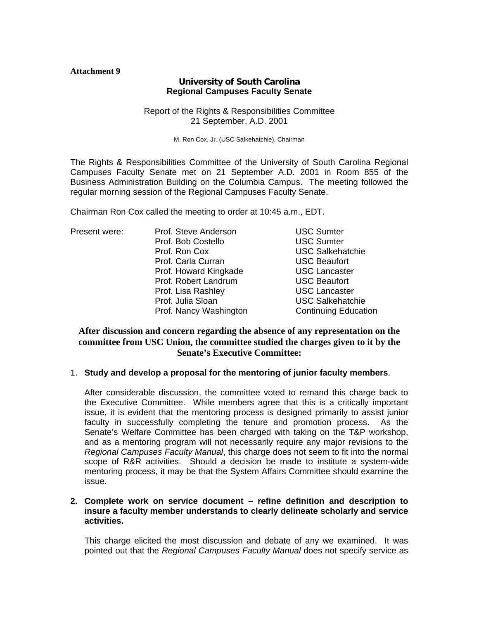# **University of South Carolina Regional Campuses Faculty Senate**

# Report of the Rights & Responsibilities Committee 21 September, A.D. 2001

M. Ron Cox, Jr. (USC Salkehatchie), Chairman

The Rights & Responsibilities Committee of the University of South Carolina Regional Campuses Faculty Senate met on 21 September A.D. 2001 in Room 855 of the Business Administration Building on the Columbia Campus. The meeting followed the regular morning session of the Regional Campuses Faculty Senate.

Chairman Ron Cox called the meeting to order at 10:45 a.m., EDT.

| Present were: | Prof. Steve Anderson   | <b>USC Sumter</b>           |
|---------------|------------------------|-----------------------------|
|               | Prof. Bob Costello     | <b>USC Sumter</b>           |
|               | Prof. Ron Cox          | <b>USC Salkehatchie</b>     |
|               | Prof. Carla Curran     | <b>USC Beaufort</b>         |
|               | Prof. Howard Kingkade  | <b>USC Lancaster</b>        |
|               | Prof. Robert Landrum   | <b>USC Beaufort</b>         |
|               | Prof. Lisa Rashley     | <b>USC Lancaster</b>        |
|               | Prof. Julia Sloan      | <b>USC Salkehatchie</b>     |
|               | Prof. Nancy Washington | <b>Continuing Education</b> |

# **After discussion and concern regarding the absence of any representation on the committee from USC Union, the committee studied the charges given to it by the Senate's Executive Committee:**

# 1. **Study and develop a proposal for the mentoring of junior faculty members**.

After considerable discussion, the committee voted to remand this charge back to the Executive Committee. While members agree that this is a critically important issue, it is evident that the mentoring process is designed primarily to assist junior faculty in successfully completing the tenure and promotion process. As the Senate's Welfare Committee has been charged with taking on the T&P workshop, and as a mentoring program will not necessarily require any major revisions to the *Regional Campuses Faculty Manual*, this charge does not seem to fit into the normal scope of R&R activities. Should a decision be made to institute a system-wide mentoring process, it may be that the System Affairs Committee should examine the issue.

# **2. Complete work on service document – refine definition and description to insure a faculty member understands to clearly delineate scholarly and service activities.**

This charge elicited the most discussion and debate of any we examined. It was pointed out that the *Regional Campuses Faculty Manual* does not specify service as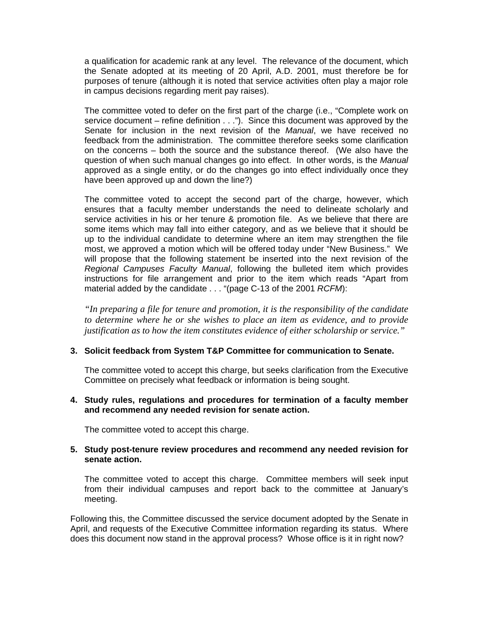a qualification for academic rank at any level. The relevance of the document, which the Senate adopted at its meeting of 20 April, A.D. 2001, must therefore be for purposes of tenure (although it is noted that service activities often play a major role in campus decisions regarding merit pay raises).

The committee voted to defer on the first part of the charge (i.e., "Complete work on service document – refine definition . . ."). Since this document was approved by the Senate for inclusion in the next revision of the *Manual*, we have received no feedback from the administration. The committee therefore seeks some clarification on the concerns – both the source and the substance thereof. (We also have the question of when such manual changes go into effect. In other words, is the *Manual* approved as a single entity, or do the changes go into effect individually once they have been approved up and down the line?)

The committee voted to accept the second part of the charge, however, which ensures that a faculty member understands the need to delineate scholarly and service activities in his or her tenure & promotion file. As we believe that there are some items which may fall into either category, and as we believe that it should be up to the individual candidate to determine where an item may strengthen the file most, we approved a motion which will be offered today under "New Business." We will propose that the following statement be inserted into the next revision of the *Regional Campuses Faculty Manual*, following the bulleted item which provides instructions for file arrangement and prior to the item which reads "Apart from material added by the candidate . . . "(page C-13 of the 2001 *RCFM*):

*"In preparing a file for tenure and promotion, it is the responsibility of the candidate to determine where he or she wishes to place an item as evidence, and to provide justification as to how the item constitutes evidence of either scholarship or service."* 

# **3. Solicit feedback from System T&P Committee for communication to Senate.**

The committee voted to accept this charge, but seeks clarification from the Executive Committee on precisely what feedback or information is being sought.

# **4. Study rules, regulations and procedures for termination of a faculty member and recommend any needed revision for senate action.**

The committee voted to accept this charge.

# **5. Study post-tenure review procedures and recommend any needed revision for senate action.**

The committee voted to accept this charge. Committee members will seek input from their individual campuses and report back to the committee at January's meeting.

Following this, the Committee discussed the service document adopted by the Senate in April, and requests of the Executive Committee information regarding its status. Where does this document now stand in the approval process? Whose office is it in right now?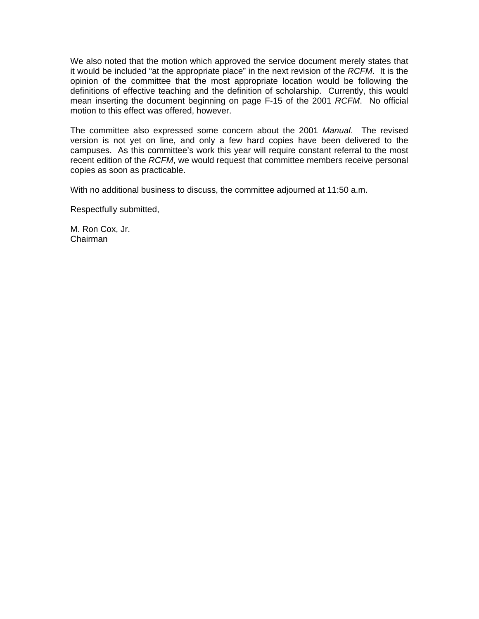We also noted that the motion which approved the service document merely states that it would be included "at the appropriate place" in the next revision of the *RCFM*. It is the opinion of the committee that the most appropriate location would be following the definitions of effective teaching and the definition of scholarship. Currently, this would mean inserting the document beginning on page F-15 of the 2001 *RCFM*. No official motion to this effect was offered, however.

The committee also expressed some concern about the 2001 *Manual*. The revised version is not yet on line, and only a few hard copies have been delivered to the campuses. As this committee's work this year will require constant referral to the most recent edition of the *RCFM*, we would request that committee members receive personal copies as soon as practicable.

With no additional business to discuss, the committee adjourned at 11:50 a.m.

Respectfully submitted,

M. Ron Cox, Jr. Chairman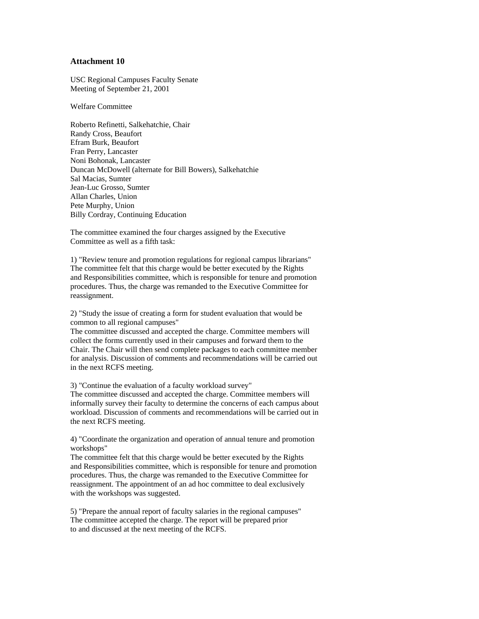USC Regional Campuses Faculty Senate Meeting of September 21, 2001

Welfare Committee

Roberto Refinetti, Salkehatchie, Chair Randy Cross, Beaufort Efram Burk, Beaufort Fran Perry, Lancaster Noni Bohonak, Lancaster Duncan McDowell (alternate for Bill Bowers), Salkehatchie Sal Macias, Sumter Jean-Luc Grosso, Sumter Allan Charles, Union Pete Murphy, Union Billy Cordray, Continuing Education

The committee examined the four charges assigned by the Executive Committee as well as a fifth task:

1) "Review tenure and promotion regulations for regional campus librarians" The committee felt that this charge would be better executed by the Rights and Responsibilities committee, which is responsible for tenure and promotion procedures. Thus, the charge was remanded to the Executive Committee for reassignment.

2) "Study the issue of creating a form for student evaluation that would be common to all regional campuses"

The committee discussed and accepted the charge. Committee members will collect the forms currently used in their campuses and forward them to the Chair. The Chair will then send complete packages to each committee member for analysis. Discussion of comments and recommendations will be carried out in the next RCFS meeting.

3) "Continue the evaluation of a faculty workload survey"

The committee discussed and accepted the charge. Committee members will informally survey their faculty to determine the concerns of each campus about workload. Discussion of comments and recommendations will be carried out in the next RCFS meeting.

4) "Coordinate the organization and operation of annual tenure and promotion workshops"

The committee felt that this charge would be better executed by the Rights and Responsibilities committee, which is responsible for tenure and promotion procedures. Thus, the charge was remanded to the Executive Committee for reassignment. The appointment of an ad hoc committee to deal exclusively with the workshops was suggested.

5) "Prepare the annual report of faculty salaries in the regional campuses" The committee accepted the charge. The report will be prepared prior to and discussed at the next meeting of the RCFS.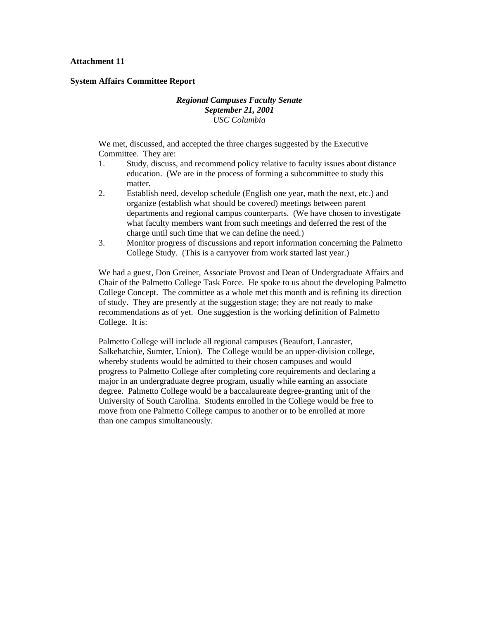#### **System Affairs Committee Report**

# *Regional Campuses Faculty Senate September 21, 2001 USC Columbia*

We met, discussed, and accepted the three charges suggested by the Executive Committee. They are:

- 1. Study, discuss, and recommend policy relative to faculty issues about distance education. (We are in the process of forming a subcommittee to study this matter.
- 2. Establish need, develop schedule (English one year, math the next, etc.) and organize (establish what should be covered) meetings between parent departments and regional campus counterparts. (We have chosen to investigate what faculty members want from such meetings and deferred the rest of the charge until such time that we can define the need.)
- 3. Monitor progress of discussions and report information concerning the Palmetto College Study. (This is a carryover from work started last year.)

We had a guest, Don Greiner, Associate Provost and Dean of Undergraduate Affairs and Chair of the Palmetto College Task Force. He spoke to us about the developing Palmetto College Concept. The committee as a whole met this month and is refining its direction of study. They are presently at the suggestion stage; they are not ready to make recommendations as of yet. One suggestion is the working definition of Palmetto College. It is:

Palmetto College will include all regional campuses (Beaufort, Lancaster, Salkehatchie, Sumter, Union). The College would be an upper-division college, whereby students would be admitted to their chosen campuses and would progress to Palmetto College after completing core requirements and declaring a major in an undergraduate degree program, usually while earning an associate degree. Palmetto College would be a baccalaureate degree-granting unit of the University of South Carolina. Students enrolled in the College would be free to move from one Palmetto College campus to another or to be enrolled at more than one campus simultaneously.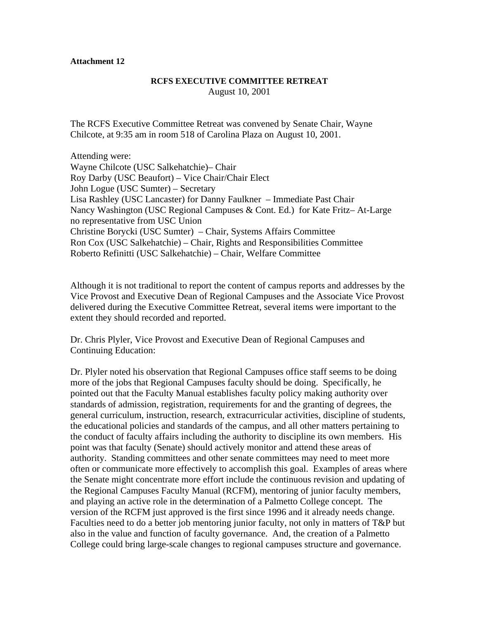# **RCFS EXECUTIVE COMMITTEE RETREAT**  August 10, 2001

The RCFS Executive Committee Retreat was convened by Senate Chair, Wayne Chilcote, at 9:35 am in room 518 of Carolina Plaza on August 10, 2001.

Attending were: Wayne Chilcote (USC Salkehatchie)– Chair Roy Darby (USC Beaufort) – Vice Chair/Chair Elect John Logue (USC Sumter) – Secretary Lisa Rashley (USC Lancaster) for Danny Faulkner – Immediate Past Chair Nancy Washington (USC Regional Campuses & Cont. Ed.) for Kate Fritz– At-Large no representative from USC Union Christine Borycki (USC Sumter) – Chair, Systems Affairs Committee Ron Cox (USC Salkehatchie) – Chair, Rights and Responsibilities Committee Roberto Refinitti (USC Salkehatchie) – Chair, Welfare Committee

Although it is not traditional to report the content of campus reports and addresses by the Vice Provost and Executive Dean of Regional Campuses and the Associate Vice Provost delivered during the Executive Committee Retreat, several items were important to the extent they should recorded and reported.

Dr. Chris Plyler, Vice Provost and Executive Dean of Regional Campuses and Continuing Education:

Dr. Plyler noted his observation that Regional Campuses office staff seems to be doing more of the jobs that Regional Campuses faculty should be doing. Specifically, he pointed out that the Faculty Manual establishes faculty policy making authority over standards of admission, registration, requirements for and the granting of degrees, the general curriculum, instruction, research, extracurricular activities, discipline of students, the educational policies and standards of the campus, and all other matters pertaining to the conduct of faculty affairs including the authority to discipline its own members. His point was that faculty (Senate) should actively monitor and attend these areas of authority. Standing committees and other senate committees may need to meet more often or communicate more effectively to accomplish this goal. Examples of areas where the Senate might concentrate more effort include the continuous revision and updating of the Regional Campuses Faculty Manual (RCFM), mentoring of junior faculty members, and playing an active role in the determination of a Palmetto College concept. The version of the RCFM just approved is the first since 1996 and it already needs change. Faculties need to do a better job mentoring junior faculty, not only in matters of T&P but also in the value and function of faculty governance. And, the creation of a Palmetto College could bring large-scale changes to regional campuses structure and governance.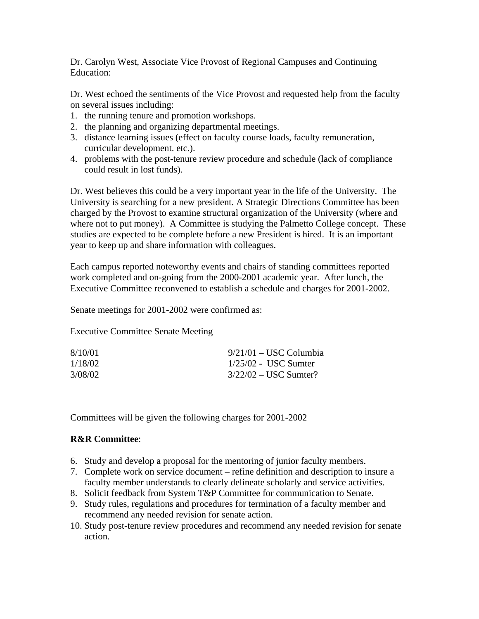Dr. Carolyn West, Associate Vice Provost of Regional Campuses and Continuing Education:

Dr. West echoed the sentiments of the Vice Provost and requested help from the faculty on several issues including:

- 1. the running tenure and promotion workshops.
- 2. the planning and organizing departmental meetings.
- 3. distance learning issues (effect on faculty course loads, faculty remuneration, curricular development. etc.).
- 4. problems with the post-tenure review procedure and schedule (lack of compliance could result in lost funds).

Dr. West believes this could be a very important year in the life of the University. The University is searching for a new president. A Strategic Directions Committee has been charged by the Provost to examine structural organization of the University (where and where not to put money). A Committee is studying the Palmetto College concept. These studies are expected to be complete before a new President is hired. It is an important year to keep up and share information with colleagues.

Each campus reported noteworthy events and chairs of standing committees reported work completed and on-going from the 2000-2001 academic year. After lunch, the Executive Committee reconvened to establish a schedule and charges for 2001-2002.

Senate meetings for 2001-2002 were confirmed as:

Executive Committee Senate Meeting

| 8/10/01 | $9/21/01 -$ USC Columbia |
|---------|--------------------------|
| 1/18/02 | $1/25/02$ - USC Sumter   |
| 3/08/02 | $3/22/02 -$ USC Sumter?  |

Committees will be given the following charges for 2001-2002

# **R&R Committee**:

- 6. Study and develop a proposal for the mentoring of junior faculty members.
- 7. Complete work on service document refine definition and description to insure a faculty member understands to clearly delineate scholarly and service activities.
- 8. Solicit feedback from System T&P Committee for communication to Senate.
- 9. Study rules, regulations and procedures for termination of a faculty member and recommend any needed revision for senate action.
- 10. Study post-tenure review procedures and recommend any needed revision for senate action.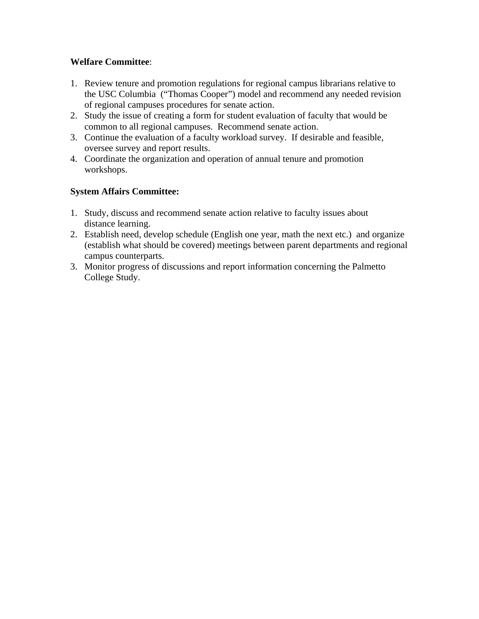# **Welfare Committee**:

- 1. Review tenure and promotion regulations for regional campus librarians relative to the USC Columbia ("Thomas Cooper") model and recommend any needed revision of regional campuses procedures for senate action.
- 2. Study the issue of creating a form for student evaluation of faculty that would be common to all regional campuses. Recommend senate action.
- 3. Continue the evaluation of a faculty workload survey. If desirable and feasible, oversee survey and report results.
- 4. Coordinate the organization and operation of annual tenure and promotion workshops.

# **System Affairs Committee:**

- 1. Study, discuss and recommend senate action relative to faculty issues about distance learning.
- 2. Establish need, develop schedule (English one year, math the next etc.) and organize (establish what should be covered) meetings between parent departments and regional campus counterparts.
- 3. Monitor progress of discussions and report information concerning the Palmetto College Study.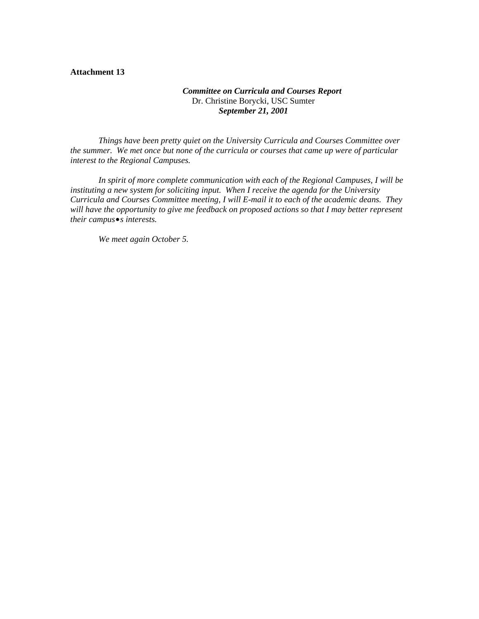# *Committee on Curricula and Courses Report*  Dr. Christine Borycki, USC Sumter *September 21, 2001*

*Things have been pretty quiet on the University Curricula and Courses Committee over the summer. We met once but none of the curricula or courses that came up were of particular interest to the Regional Campuses.* 

*In spirit of more complete communication with each of the Regional Campuses, I will be instituting a new system for soliciting input. When I receive the agenda for the University Curricula and Courses Committee meeting, I will E-mail it to each of the academic deans. They*  will have the opportunity to give me feedback on proposed actions so that I may better represent *their campus*•*s interests.* 

*We meet again October 5.*